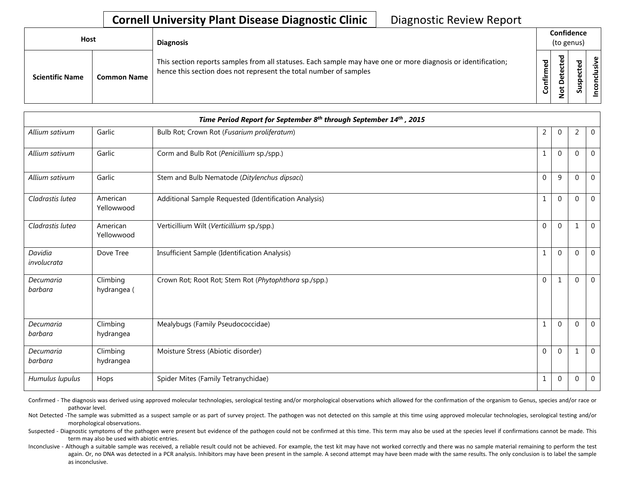## **Cornell University Plant Disease Diagnostic Clinic** | Diagnostic Review Report

| <b>Host</b>            |                    | <b>Diagnosis</b>                                                                                                                                                                   | Confidence<br>(to genus) |   |             |   |
|------------------------|--------------------|------------------------------------------------------------------------------------------------------------------------------------------------------------------------------------|--------------------------|---|-------------|---|
| <b>Scientific Name</b> | <b>Common Name</b> | This section reports samples from all statuses. Each sample may have one or more diagnosis or identification;<br>hence this section does not represent the total number of samples | 5g<br>Confir             | ᇰ | ω<br>ω<br>s | ω |

|                        | Time Period Report for September 8th through September 14th, 2015 |                                                       |                |              |              |                |  |  |  |
|------------------------|-------------------------------------------------------------------|-------------------------------------------------------|----------------|--------------|--------------|----------------|--|--|--|
| Allium sativum         | Garlic                                                            | Bulb Rot; Crown Rot (Fusarium proliferatum)           | $\overline{2}$ | $\mathbf{0}$ | 2            | $\mathbf 0$    |  |  |  |
| Allium sativum         | Garlic                                                            | Corm and Bulb Rot (Penicillium sp./spp.)              | $\mathbf{1}$   | $\Omega$     | $\Omega$     | $\mathbf 0$    |  |  |  |
| Allium sativum         | Garlic                                                            | Stem and Bulb Nematode (Ditylenchus dipsaci)          | $\Omega$       | 9            | $\Omega$     | $\mathbf{0}$   |  |  |  |
| Cladrastis lutea       | American<br>Yellowwood                                            | Additional Sample Requested (Identification Analysis) | $\mathbf{1}$   | $\Omega$     | $\Omega$     | $\mathbf 0$    |  |  |  |
| Cladrastis lutea       | American<br>Yellowwood                                            | Verticillium Wilt (Verticillium sp./spp.)             | $\Omega$       | $\Omega$     |              | $\Omega$       |  |  |  |
| Davidia<br>involucrata | Dove Tree                                                         | Insufficient Sample (Identification Analysis)         | $\mathbf{1}$   | $\mathbf 0$  | $\mathbf{0}$ | $\overline{0}$ |  |  |  |
| Decumaria<br>barbara   | Climbing<br>hydrangea (                                           | Crown Rot; Root Rot; Stem Rot (Phytophthora sp./spp.) | $\Omega$       | $\mathbf{1}$ | $\Omega$     | $\mathbf{0}$   |  |  |  |
| Decumaria<br>barbara   | Climbing<br>hydrangea                                             | Mealybugs (Family Pseudococcidae)                     | $\mathbf{1}$   | $\Omega$     | $\Omega$     | $\mathbf 0$    |  |  |  |
| Decumaria<br>barbara   | Climbing<br>hydrangea                                             | Moisture Stress (Abiotic disorder)                    | $\overline{0}$ | $\mathbf{0}$ | 1            | $\mathbf 0$    |  |  |  |
| Humulus lupulus        | Hops                                                              | Spider Mites (Family Tetranychidae)                   | 1              | $\mathbf{0}$ | $\mathbf{0}$ | $\mathbf 0$    |  |  |  |

Confirmed - The diagnosis was derived using approved molecular technologies, serological testing and/or morphological observations which allowed for the confirmation of the organism to Genus, species and/or race or pathovar level.

Not Detected -The sample was submitted as a suspect sample or as part of survey project. The pathogen was not detected on this sample at this time using approved molecular technologies, serological testing and/or morphological observations.

Suspected - Diagnostic symptoms of the pathogen were present but evidence of the pathogen could not be confirmed at this time. This term may also be used at the species level if confirmations cannot be made. This term may also be used with abiotic entries.

Inconclusive - Although a suitable sample was received, a reliable result could not be achieved. For example, the test kit may have not worked correctly and there was no sample material remaining to perform the test again. Or, no DNA was detected in a PCR analysis. Inhibitors may have been present in the sample. A second attempt may have been made with the same results. The only conclusion is to label the sample as inconclusive.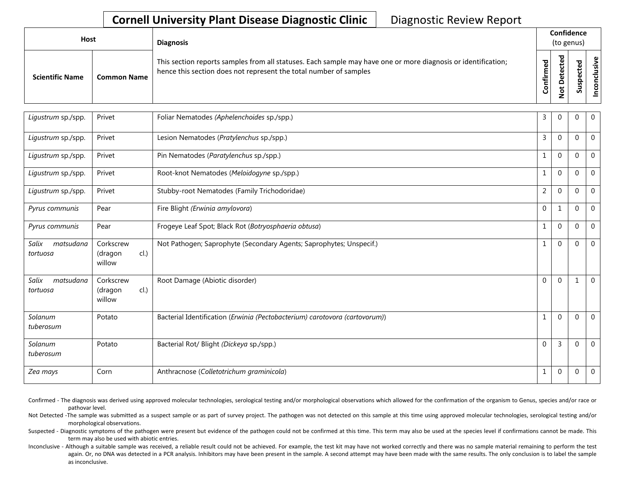## **Cornell University Plant Disease Diagnostic Clinic** | Diagnostic Review Report

| <b>Host</b> |                        |                    | <b>Diagnosis</b>                                                                                                                                                                   |                    | Confidence<br>(to genus) |        |                  |  |  |
|-------------|------------------------|--------------------|------------------------------------------------------------------------------------------------------------------------------------------------------------------------------------|--------------------|--------------------------|--------|------------------|--|--|
|             | <b>Scientific Name</b> | <b>Common Name</b> | This section reports samples from all statuses. Each sample may have one or more diagnosis or identification;<br>hence this section does not represent the total number of samples | ਹ<br>.≐<br>$\circ$ | ᇃ<br>۵<br>پ<br>ے         | ∽<br>ഗ | ്ധി<br><b>SO</b> |  |  |

| Ligustrum sp./spp.             | Privet                                 | Foliar Nematodes (Aphelenchoides sp./spp.)                                  | 3              | $\Omega$       | $\Omega$    | $\mathbf 0$    |
|--------------------------------|----------------------------------------|-----------------------------------------------------------------------------|----------------|----------------|-------------|----------------|
| Ligustrum sp./spp.             | Privet                                 | Lesion Nematodes (Pratylenchus sp./spp.)                                    | 3              | $\Omega$       | $\mathbf 0$ | $\overline{0}$ |
| Ligustrum sp./spp.             | Privet                                 | Pin Nematodes (Paratylenchus sp./spp.)                                      |                | $\Omega$       | $\Omega$    | $\mathbf 0$    |
| Ligustrum sp./spp.             | Privet                                 | Root-knot Nematodes (Meloidogyne sp./spp.)                                  |                | $\Omega$       | $\Omega$    | $\mathbf 0$    |
| Ligustrum sp./spp.             | Privet                                 | Stubby-root Nematodes (Family Trichodoridae)                                | $\overline{2}$ | $\Omega$       | $\mathbf 0$ | $\mathbf 0$    |
| Pyrus communis                 | Pear                                   | Fire Blight (Erwinia amylovora)                                             | $\mathbf{0}$   | $\mathbf{1}$   | 0           | $\mathbf 0$    |
| Pyrus communis                 | Pear                                   | Frogeye Leaf Spot; Black Rot (Botryosphaeria obtusa)                        | 1              | $\Omega$       | $\mathbf 0$ | $\mathbf 0$    |
| Salix<br>matsudana<br>tortuosa | Corkscrew<br>cl.)<br>(dragon<br>willow | Not Pathogen; Saprophyte (Secondary Agents; Saprophytes; Unspecif.)         | 1              | $\Omega$       | $\Omega$    | $\overline{0}$ |
| Salix<br>matsudana<br>tortuosa | Corkscrew<br>cl.<br>(dragon<br>willow  | Root Damage (Abiotic disorder)                                              | $\Omega$       | $\Omega$       |             | $\overline{0}$ |
| Solanum<br>tuberosum           | Potato                                 | Bacterial Identification (Erwinia (Pectobacterium) carotovora (cartovorum)) |                | $\Omega$       | $\mathbf 0$ | $\overline{0}$ |
| Solanum<br>tuberosum           | Potato                                 | Bacterial Rot/ Blight (Dickeya sp./spp.)                                    | $\Omega$       | $\overline{3}$ | $\Omega$    | $\mathbf{0}$   |
| Zea mays                       | Corn                                   | Anthracnose (Colletotrichum graminicola)                                    | $\mathbf{1}$   | $\mathbf 0$    | $\mathbf 0$ | $\overline{0}$ |

Confirmed - The diagnosis was derived using approved molecular technologies, serological testing and/or morphological observations which allowed for the confirmation of the organism to Genus, species and/or race or pathovar level.

Not Detected -The sample was submitted as a suspect sample or as part of survey project. The pathogen was not detected on this sample at this time using approved molecular technologies, serological testing and/or morphological observations.

Suspected - Diagnostic symptoms of the pathogen were present but evidence of the pathogen could not be confirmed at this time. This term may also be used at the species level if confirmations cannot be made. This term may also be used with abiotic entries.

Inconclusive - Although a suitable sample was received, a reliable result could not be achieved. For example, the test kit may have not worked correctly and there was no sample material remaining to perform the test again. Or, no DNA was detected in a PCR analysis. Inhibitors may have been present in the sample. A second attempt may have been made with the same results. The only conclusion is to label the sample as inconclusive.